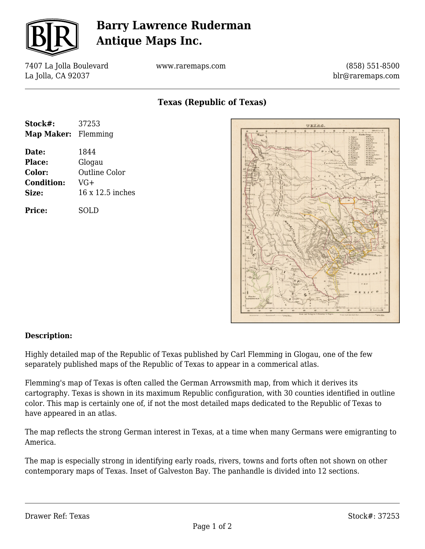

## **Barry Lawrence Ruderman Antique Maps Inc.**

7407 La Jolla Boulevard La Jolla, CA 92037

www.raremaps.com

(858) 551-8500 blr@raremaps.com

**Texas (Republic of Texas)**

| Stock#:                    | 37253                |
|----------------------------|----------------------|
| <b>Map Maker:</b> Flemming |                      |
| Date:                      | 1844                 |
| <b>Place:</b>              | Glogau               |
| Color:                     | <b>Outline Color</b> |
| <b>Condition:</b>          | $VG+$                |
| Size:                      | 16 x 12.5 inches     |
| <b>Price:</b>              | SOLD                 |



## **Description:**

Highly detailed map of the Republic of Texas published by Carl Flemming in Glogau, one of the few separately published maps of the Republic of Texas to appear in a commerical atlas.

Flemming's map of Texas is often called the German Arrowsmith map, from which it derives its cartography. Texas is shown in its maximum Republic configuration, with 30 counties identified in outline color. This map is certainly one of, if not the most detailed maps dedicated to the Republic of Texas to have appeared in an atlas.

The map reflects the strong German interest in Texas, at a time when many Germans were emigranting to America.

The map is especially strong in identifying early roads, rivers, towns and forts often not shown on other contemporary maps of Texas. Inset of Galveston Bay. The panhandle is divided into 12 sections.